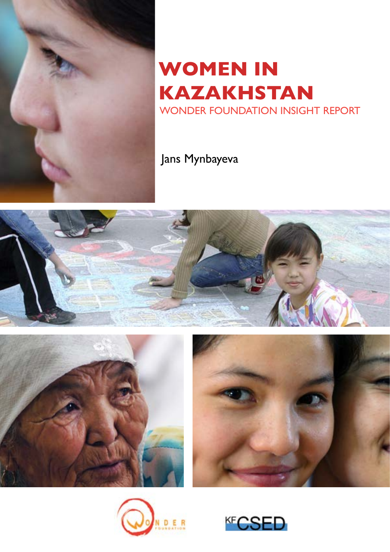

## **WOMEN IN KAZAKHSTAN**  WONDER FOUNDATION INSIGHT REPORT

## Jans Mynbayeva









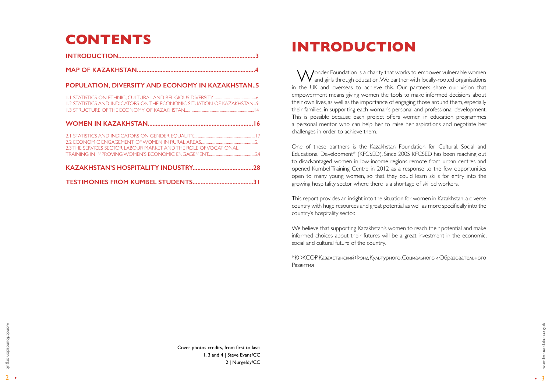## **INTRODUCTION**

Wonder Foundation is a charity that works to empower vulnerable women<br>and girls through education. We partner with locally-rooted organisations in the UK and overseas to achieve this. Our partners share our vision that empowerment means giving women the tools to make informed decisions about their own lives, as well as the importance of engaging those around them, especially their families, in supporting each woman's personal and professional development. This is possible because each project offers women in education programmes a personal mentor who can help her to raise her aspirations and negotiate her challenges in order to achieve them.

One of these partners is the Kazakhstan Foundation for Cultural, Social and Educational Development\* (KFCSED). Since 2005 KFCSED has been reaching out to disadvantaged women in low-income regions remote from urban centres and opened Kumbel Training Centre in 2012 as a response to the few opportunities open to many young women, so that they could learn skills for entry into the growing hospitality sector, where there is a shortage of skilled workers.

This report provides an insight into the situation for women in Kazakhstan, a diverse country with huge resources and great potential as well as more specifically into the country's hospitality sector.

We believe that supporting Kazakhstan's women to reach their potential and make informed choices about their futures will be a great investment in the economic, social and cultural future of the country.

\*КФКСОР Казахстанский Фонд Культурного, Социального и Образовательного Развития

# **CONTENTS**

|--|--|--|

#### **[POPULATION, DIVERSITY AND ECONOMY IN KAZAKHSTAN..5](#page-2-0)**

| 1.2 STATISTICS AND INDICATORS ON THE ECONOMIC SITUATION OF KAZAKHSTAN9 |  |
|------------------------------------------------------------------------|--|
|                                                                        |  |
| 2.3 THE SERVICES SECTOR LABOUR MARKET AND THE ROLE OF VOCATIONAL       |  |
|                                                                        |  |
|                                                                        |  |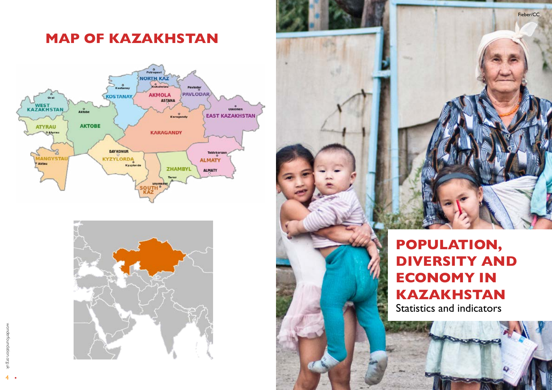



<span id="page-2-0"></span>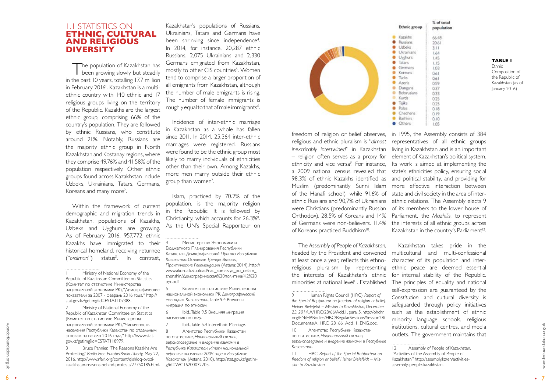6

wonderfoundation.org.uk wonderfoundation.org.uk

•

| Ì.<br>66.48<br>20.61<br>3.11<br>1.64<br>1.45<br>1.15<br>1.03<br>0.61<br>0.61<br>0.59<br>0.37<br>0.33<br>i<br>0.25<br>0.25<br>0.18<br>0.19<br>0.10<br>1:05 | % of total |
|-----------------------------------------------------------------------------------------------------------------------------------------------------------|------------|
|                                                                                                                                                           | population |
|                                                                                                                                                           |            |
|                                                                                                                                                           |            |
|                                                                                                                                                           |            |
|                                                                                                                                                           |            |
|                                                                                                                                                           |            |
|                                                                                                                                                           |            |
|                                                                                                                                                           |            |
|                                                                                                                                                           |            |
|                                                                                                                                                           |            |
|                                                                                                                                                           |            |
|                                                                                                                                                           |            |
|                                                                                                                                                           |            |
|                                                                                                                                                           |            |
|                                                                                                                                                           |            |
|                                                                                                                                                           |            |
|                                                                                                                                                           |            |
|                                                                                                                                                           |            |
|                                                                                                                                                           |            |

#### <span id="page-3-0"></span>1.1 STATISTICS ON **ETHNIC, CULTURAL AND RELIGIOUS DIVERSITY**

The population of Kazakhstan has **been growing slowly but steadily** in the past 10 years, totalling 17.7 million in February 2016'. Kazakhstan is a multiethnic country with 140 ethnic and 17 religious groups living on the territory of the Republic. Kazakhs are the largest ethnic group, comprising 66% of the country's population. They are followed by ethnic Russians, who constitute around 21%. Notably, Russians are the majority ethnic group in North Kazakhstan and Kostanay regions, where they comprise 49.76% and 41.58% of the population respectively. Other ethnic groups found across Kazakhstan include Uzbeks, Ukrainians, Tatars, Germans, Koreans and many more<sup>2</sup>.

2 Ministry of National Economy of the Republic of Kazakhstan Committee on Statistics (Комитет по статистике Министерства национальной экономики РК), "Численность населения Республики Казахстан по отдельным этносам на начало 2016 года," http://www.stat. gov.kz/getImg?id=ESTAT118979.

Within the framework of current demographic and migration trends in Kazakhstan, populations of Kazakhs, Uzbeks and Uyghurs are growing. As of February 2016, 957,772 ethnic Kazakhs have immigrated to their historical homeland, receiving returnee ("oralman") 3 . In contrast,

> 8 Агентство Республики Казахстан по статистике, *Национальный состав, вероисповедание и владение языками в Республике Казахстан: Итоги национальной переписи населения 2009 года в Республике Казахстан* (Astana: 2010), http://stat.gov.kz/getIm g?id=WC16200032705.



3 Bruce Pannier, "The Reasons Kazakhs Are Protesting," *Radio Free Europe/Radio Liberty,* May 22, 2016, http://www.rferl.org/content/qishloq-ovozikazakhstan-reasons-behind-protests/27750185.html. religious and ethnic pluralism is "*almost*  – religion often serves as a proxy for a 2009 national census revealed that 98.3% of ethnic Kazakhs identified as Muslim (predominantly Sunni Islam of the Hanafi school), while 91.6% of were Christians (predominantly Russian of Koreans practiced Buddhism<sup>10</sup>.

Kazakhstan's populations of Russians, Ukrainians, Tatars and Germans have been shrinking since independence 4 . In 2014, for instance, 20,287 ethnic Russians, 2,075 Ukrainians and 2,330 Germans emigrated from Kazakhstan, mostly to other CIS countries 5 . Women tend to comprise a larger proportion of all emigrants from Kazakhstan, although the number of male emigrants is rising. The number of female immigrants is roughly equal to that of male immigrants $^6$ .

Incidence of inter-ethnic marriage in Kazakhstan as a whole has fallen since 2011. In 2014, 25,364 inter-ethnic marriages were registered. Russians were found to be the ethnic group most likely to marry individuals of ethnicities other than their own. Among Kazakhs, more men marry outside their ethnic group than women 7 .

Islam, practiced by 70.2% of the population, is the majority religion in the Republic. It is followed by Christianity, which accounts for 26.3% 8 . As the UN's Special Rapporteur on

minorities at national level<sup>11</sup>. Established The principles of equality and national<br>
self-expression are guaranteed by the<br>
Human Rights Council (HRC), *Report of Constitution* and cultural diversity is Kazakhstan takes pride in the character of its population and interethnic peace are deemed essential for internal stability of the Republic. self-expression are guaranteed by the *Constitution*, and cultural diversity is safeguarded through policy initiatives such as the establishment of ethnic minority language schools, religious institutions, cultural centres, and media outlets. The government maintains that

**Ethnic** Composition of the Republic of Kazakhstan (as of January 2016)

населения по полу.

7 Ibid., Table 5.4 Interethnic Marriage.

The *Assembly of People of Kazakhstan*, headed by the President and convened multicultural and multi-confessional at least once a year, reflects this ethnoreligious pluralism by representing the interests of Kazakhstan's ethnic

10 Агентство Республики Казахстан по статистике, *Национальный состав, вероисповедание и владение языками в Республике Казахстан.*

11 HRC, *Report of the Special Rapporteur on freedom of religion or belief, Heiner Bielefeldt – Mis sion to Kazakhstan.*

Chechens · Others freedom of religion or belief observes, in 1995, the Assembly consists of 384 representatives of all ethnic groups inextricably intertwined" in Kazakhstan living in Kazakhstan and is an important element of Kazakhstan's political system. ethnicity and vice versa<sup>9</sup>. For instance, Its work is aimed at implementing the state's ethnicities policy, ensuring social and political stability, and providing for more effective interaction between state and civil society in the area of interethnic Russians and 90,7% of Ukrainians ethnic relations. The Assembly elects 9 of its members to the lower house of Orthodox). 28.5% of Koreans and 14% Parliament, the *Mazhilis,* to represent of Germans were non-believers. 11.4% the interests of all ethnic groups across Kazakhstan in the country's Parliament<sup>12</sup>.

**TABLE 1**

Ministry of National Economy of the Republic of Kazakhstan Committee on Statistics (Комитет по статистике Министерства национальной экономики РК), "Демографические показатели за 2007 - февраль 2016 года," http:// stat.gov.kz/getImg?id=ESTAT107388.

*the Special Rapporteur on freedom of religion or belief, Heiner Bielefeldt – Mission to Kazakhstan, December 23, 2014*, A/HRC/28/66/Add.1, para. 5, http://ohchr. org/EN/HRBodies/HRC/RegularSessions/Session28/ Documents/A\_HRC\_28\_66\_Add\_I\_ENG.doc.

<sup>4</sup> Министерство Экономики и Бюджетного Планирования Республики Казахстан, *Демографический Прогноз Республики Казахстан: Основные Тренды, Вызовы, Практические Рекомендации* (Astana: 2014), http:// www.akorda.kz/upload/nac\_komissiya\_po\_delam\_ zhenshin/Демографическая%20политика/4.2%20 рус.pdf

<sup>12</sup> Assembly of People of Kazakhstan,

<sup>5</sup> Комитет по статистике Министерства национальной экономики РК, *Демографический ежегодник Казахстана*, Table 9.4 Внешняя миграция по этносам. 6 Ibid., Table 9.5 Внешняя миграция

<sup>&</sup>quot;Activities of the Assembly of People of

Kazakhstan," http://assembly.kz/en/activitiesassembly-people-kazakhstan.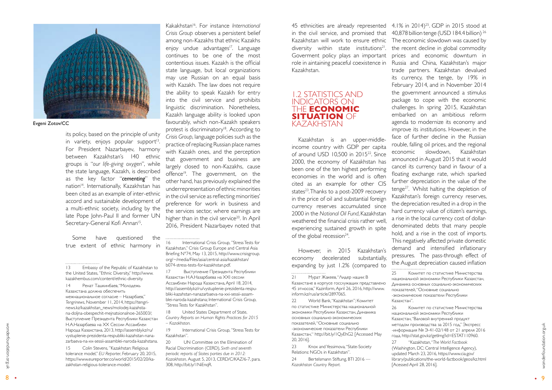wonderfoundation.org.uk

wonderfoundation.org.uk

its policy, based on the principle of unity in variety, enjoys popular support<sup>13</sup>. For President Nazarbayev, harmony between Kazakhstan's 140 ethnic groups is "*our life-giving oxygen*", while the state language, Kazakh, is described as the key factor "*cementing*" the nation<sup>14</sup>. Internationally, Kazakhstan has been cited as an example of inter-ethnic accord and sustainable development of a multi-ethnic society, including by the late Pope John-Paul II and former UN Secretary-General Kofi Annan<sup>15</sup>. .

Some have questioned the true extent of ethnic harmony in

14 Ренат Ташкинбаев, "Молодежь Казахстана должна обеспечить межнациональное согласие – Назарбаев," *Tengrinews*, November 11, 2014, https://tengri news.kz/kazakhstan\_news/molodej-kazahsta na-doljna-obespechit-mejnatsionalnoe-265003/; Выступление Президента Республики Казахстан Н.А.Назарбаева на XX Сессии Ассамблеи Народа Казахстана, 2013, http://assembly.kz/ru/ vystuplenie-prezidenta-respubliki-kazahstan-nana zarbaeva-na-xx-sessii-assamblei-naroda-kazahstana.

15 Colin Stevens, "Kazakhstan: Religious tolerance model," *EU Reporter*, February 20, 2015, https://www.eureporter.co/world/2015/02/20/ka zakhstan-religious-tolerance-model/.

20 UN Committee on the Elimination of Racial Discrimination (CERD), *Sixth and seventh periodic reports of States parties due in 2012: Kazakhstan,* August 5, 2013, CERD/C/KAZ/6-7, para. 308, http://bit.ly/1NiEnqR.

in the civil service, and promised that  $-40,878$  billion tenge (USD 184.4 billion)  $^{26}$ Goverment policy plays an important Kazakhstan.

Kazakhstan is an upper-middleincome country with GDP per capita of around USD 10,500 in 201522. Since 2000, the economy of Kazakhstan has been one of the ten highest performing economies in the world and is often cited as an example for other CIS states<sup>23</sup>. Thanks to a post-2009 recovery in the price of oil and substantial foreign currency reserves accumulated since 2000 in the *National Oil Fund*, Kazakhstan weathered the financial crisis rather well, experiencing sustained growth in spite of the global recession $24$ .

Kakakhstan16. For instance *International Crisis Group* observes a persistent belief among non-Kazakhs that ethnic Kazakhs enjoy undue advantages<sup>17</sup>. Language continues to be one of the most contentious issues. Kazakh is the official state language, but local organizations may use Russian on an equal basis with Kazakh. The law does not require the ability to speak Kazakh for entry into the civil service and prohibits linguistic discrimination. Nonetheless, Kazakh language ability is looked upon favourably, which non-Kazakh speakers protest is discriminatory<sup>18</sup>. According to *Crisis Group*, language policies such as the practice of replacing Russian place names with Kazakh ones, and the perception that government and business are largely closed to non-Kazakhs, cause offence<sup>19</sup>. The government, on the other hand, has previously explained the underrepresentation of ethnic minorities in the civil service as reflecting minorities' preference for work in business and the services sector, where earnings are higher than in the civil service<sup>20</sup>. In April 2016, President Nazarbayev noted that

> 23 Knox and Yessimova, "State-Society Relations: NGOs in Kazakhstan".

24 Bertelsmann Stiftung, BTI 2016 — *Kazakhstan Country Report.*

16 International Crisis Group, "Stress Tests for Kazakhstan," Crisis Group Europe and Central Asia Briefing N°74, May 13, 2015, http://www.crisisgroup. org/~/media/Files/asia/central-asia/kazakhstan/ b074-stress-tests-for-kazakhstan.pdf.

17 Выступление Президента Республики Казахстан Н.А.Назарбаева на XXI сессии Ассамблеи Народа Казахстана, April 18, 2014, http://assembly.kz/ru/vystuplenie-prezidenta-respu bliki-kazahstan-nanazarbaeva-na-xxi-sessii-assam blei-naroda-kazahstana; International Crisis Group, "Stress Tests for Kazakhstan".

18 United States Department of State, *Country Reports on Human Rights Practices for 2015 – Kazakhstan.*

19 International Crisis Group, "Stress Tests for Kazakhstan".

#### 1.2 STATISTICS AND INDICATORS ON THE **ECONOMIC SITUATION** OF KAZAKHSTAN

However, in 2015 Kazakhstan's economy decelerated substantially, expanding by just 1.2% (compared to

22 World Bank, "Kazakhstan"; Комитет по статистике Министерства национальной экономики Республики Казахстан, Динамика основных социально-экономических показателей, "Основные социально -экономические показатели Республики Казахстан," http://bit.ly/1QyEhG2 [Accessed May 20, 2016].

45 ethnicities are already represented 4.1% in 2014)25. GDP in 2015 stood at Kazakhstan will work to ensure ethnic The economic slowdown was caused by diversity within state institutions<sup>21</sup>. the recent decline in global commodity prices and economic downturn in role in aintaining peaceful coexistence in Russia and China, Kazakhstan's major trade partners. Kazakhstan devalued its currency, the tenge, by 19% in February 2014, and in November 2014 the government announced a stimulus package to cope with the economic challenges. In spring 2015, Kazakhstan embarked on an ambitious reform agenda to modernize its economy and improve its institutions. However, in the face of further decline in the Russian rouble, falling oil prices, and the regional economic slowdown, Kazakhstan announced in August 2015 that it would cancel its currency band in favour of a floating exchange rate, which sparked further depreciation in the value of the tenge<sup>27</sup>. Whilst halting the depletion of Kazakhstan's foreign currency reserves, the depreciation resulted in a drop in the hard currency value of citizen's earnings, a rise in the local currency cost of dollardenominated debts that many people hold, and a rise in the cost of imports. This negatively affected private domestic demand and intensified inflationary pressures. The pass-through effect of the August depreciation caused inflation 

25 Комитет по статистике Министерства национальной экономики Республики Казахстан, Динамика основных социально-экономических показателей, "Основные социально -экономические показатели Республики Казахстан".

26 Комитет по статистике Министерства национальной экономики Республики Казахстан, "Валовой внутренний продукт методом производства за 2015 год," Экспресс -информация № Э-41-02/148 от 21 апреля 2016 года, http://stat.gov.kz/getImg?id=ESTAT110960. 27 "Kazakhstan,*" The World Factbook* (Washington, DC: Central Intelligence Agency), updated March 23, 2016, https://www.cia.gov/ library/publications/the-world-factbook/geos/kz.html [Acessed April 28, 2016].

<span id="page-4-0"></span>

Evgeni Zotov/CC

<sup>13</sup> Embassy of the Republic of Kazakhstan to the United States, "Ethnic Diversity," http://www. kazakhembus.com/content/ethnic-diversity.

<sup>21</sup> Мурат Жакеев, "Лидер нации: В Казахстане в корпусе госслужащих представлено 45 этносов," Kazinform, April 26, 2016, http://www. inform.kz/rus/article/2897065.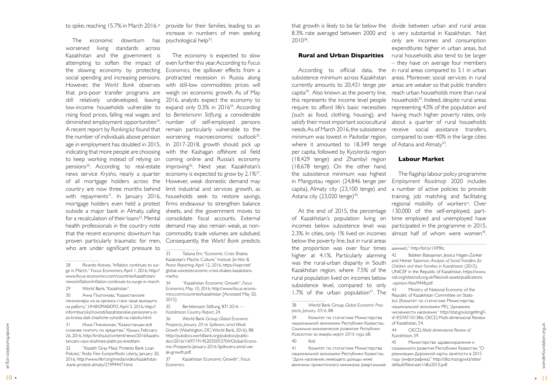The economic downturn has psychological $h$ elp $^{33}$ worsened living standards across Kazakhstan and the government is the slowing economy by protecting for a recalculation of their loans<sup>32</sup>. Mental health professionals in the country note demand may also remain weak, as nonproven particularly traumatic for men, who are under significant pressure to

- 28 Ricardo Aceves, "Inflation continues to surge in March," Focus Economics, April 1, 2016, http:// www.focus-economics.com/countries/kazakhstan/ news/inflation/inflation-continues-to-surge-in-march.
- 29 World Bank, "Kazakhstan".

to spike, reaching 15.7% in March 2016.28 provide for their families, leading to an increase in numbers of men seeking .

30 Анна Платонова, "Казахстанские пенсионеры из-за кризиса стали чаще выходить на работу," *ИНФОРМБЮРО*, April 5, 2016, http:// informburo.kz/novosti/kazahstanskie-pensionery-izza-krizisa-stali-chashche-vyhodit-na-rabotu.html.

attempting to soften the impact of even further this year. According to *Focus*  social spending and increasing pensions. protracted recession in Russia along However, the *World Bank* observes with still-low commodities prices will that pro-poor transfer programs are weigh on economic growth. As of May still relatively undeveloped, leaving 2016, analysts expect the economy to low-income households vulnerable to expand only 0.3% in 2016<sup>34</sup>. According rising food prices, falling real wages and to *Bertelsmann Stiftung,* a considerable diminished employment opportunities<sup>29</sup>. number of self-employed persons A recent report by Ranking.kz found that remain particularly vulnerable to the the number of individuals above pension worsening macroeconomic outlook<sup>35</sup>. age in employment has doubled in 2015, In 2017-2018, growth should pick up indicating that more people are choosing with the Kashagan offshore oil field to keep working instead of relying on coming online and Russia's economy pensions<sup>30</sup>. According to real-estate improving<sup>36</sup>. Next year, Kazakhstan's news service Krysha, nearly a quarter economy is expected to grow by 2.1%<sup>37</sup>. of all mortgage holders across the However, weak domestic demand may country are now three months behind limit industrial and services growth, as with repayments<sup>31</sup>. In January 2016, households seek to restore savings, mortgage holders even held a protest firms endeavour to strengthen balance outside a major bank in Almaty, calling sheets, and the government moves to that the recent economic downturn has commodity trade volumes are subdued. The economy is expected to slow *Economics*, the spillover effects from a consolidate fiscal accounts. External Consequently, the *World Bank* predicts

31 Инна Пчелянская, "Казахстанцам всё сложнее платить по кредитам," *Крыша*, February 26, 2016, http://krisha.kz/content/news/2016/kazahs tancam-vsyo-slozhnee-platit-po-kreditam.

10 1 MHz I Newtatcrata, "Kasaxcratatus of Prospects, Convert Constrained West Supplied Constrained Methoms and the Constrained American American American Method Constrained American American Constrained Constrained Constr 36 World Bank Group, *Global Economic Prospects*, *January 2016: Spillovers amid Weak Growth* (Washington, DC: World Bank, 2016), 88, http://pubdocs.worldbank.org/pubdocs/public doc/2016/1/697191452035053704/Global-Econo mic-Prospects-January-2016-Spillovers-amid-we ak-growth.pdf.

32 "Kazakh 'Gray Mass' Protests Bank Loan Policies," *Radio Free Europe/Radio Liberty*, January 20, 2016, http://www.rferl.org/media/video/kazakhstan -bank-protest-almaty/27499447.html.

According to official data, the in-rural-areas-compared-to-3.1 in-urbansubsistence minimum across Kazakhstan currently amounts to 20,431 tenge per capita39. Also known as the poverty line, this represents the income level people require to afford life's basic necessities (such as food, clothing, housing), and having much higher poverty rates, only satisfy their most important sociocultural about a quarter of rural households needs. As of March 2016, the subsistence receive social assistance transfers, minimum was lowest in Pavlodar region, where it amounted to 18,349 tenge per capita, followed by Kyzylorda region (18,429 tenge) and Zhambyl region (18,678 tenge). On the other hand, the subsistence minimum was highest in Mangystau region (24,846 tenge per capita), Almaty city (23,100 tenge) and a number of active policies to provide Astana city  $(23,020 \text{ tenge})^{40}$ . .

At the end of 2015, the percentage 130,000 of the self-employed, partof Kazakhstan's population living on incomes below subsistence level was 2.3%. In cities, only 1% lived on incomes below the poverty line, but in rural areas the proportion was over four times higher at 4.1%. Particularly alarming was the rural-urban disparity in South Kazakhstan region, where 7.5% of the rural population lived on incomes below subsistence level, compared to only  $1.7\%$  of the urban population<sup>41</sup>. The

The flagship labour policy programme *Employment Roadmap* 2020 includes training, job matching and facilitating regional mobility of workers<sup>44</sup>. Over time employed and unemployed have participated in the programme in 2015, almost half of whom were women<sup>45</sup>.

34 "Kazakhstan Economic Growth", *Focus Economics*, May 10, 2016, http://www.focus-econo mics.com/countries/kazakhstan [Accessed May 20, 2015].

35 Bertelsmann Stiftung, BTI 2016 — *Kazakhstan Country Report*, 24.

Ministry of National Economy of the Republic of Kazakhstan Committee on Statis tics (Комитет по статистике Министерства национальной экономики РК), "Динамика численности населения," http://stat.gov.kz/getImg?i d=ESTAT101386; OECD, Multi-dimensional Review of Kazakhstan, 54.

37 Kazakhstan Economic Growth", *Focus Economics.*

that growth is likely to be far below the divide between urban and rural areas 8.3% rate averaged between 2000 and is very substantial in Kazakhstan. Not 201038.

#### **Rural and Urban Disparities**

39 Комитет по статистике Министерства национальной экономики Республики Казахстан, *Социально-экономическое развитие Республики Казахстан за январь-март 2016 года*, 68. 40 Ibid.

41 Комитет по статистике Министерства национальной экономики Республики Казахстан, "Доля населения, имеющего доходы ниже

величины прожиточного минимума (квартальные

only are incomes and consumption expenditures higher in urban areas, but rural households also tend to be larger – they have on average four members areas. Moreover, social services in rural areas are weaker so that public transfers reach urban households more than rural households<sup>42</sup>. Indeed, despite rural areas representing 43% of the population and compared to over 40% in the large cities of Astana and Almaty<sup>43</sup>. .

#### **Labour Market**

#### данные)," http://bit.ly/1XPIIlz.

42 Babken Babajanian, Jessica Hagen-Zanker and Heiner Salomon, *Analysis of Social Transfers for Children and their Families in Kazakhstan* (2015), UNICEF in the Republic of Kazakhstan, https://www. odi.org/sites/odi.org.uk/files/odi-assets/publications -opinion-files/9448.pdf.

44 OECD, *Multi-dimensional Review of Kazakhstan*, 59.

45 Министерство здравоохранения и социального развития Республики Казахстан, "О реализации Дорожной карты занятости в 2015 году (инфографика)," http://dkz.mzsr.gov.kz/sites/ default/files/user1/dkz2015.pdf.

<sup>33</sup> Tatiana Em, "Economic Crisis Shakes Kazakstan's Macho Culture," *Institute for War & Peace Reporting*, April 12, 2016, https://iwpr.net/ global-voices/economic-crisis-shakes-kazakstansmacho.

<sup>38</sup> World Bank Group, *Global Economic Pros pects, January 2016*, 88.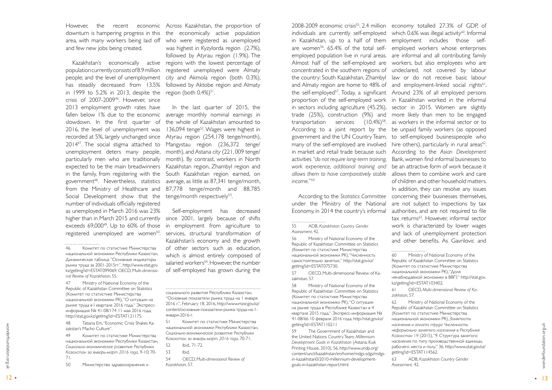population currently consists of 8.9 million has steadily decreased from 13.5% in 1999 to 5.2% in 2013, despite the region (both  $0.4\%/551}$ . crisis of 2007-200946. However, since 2013 employment growth rates have 2016, the level of unemployment was 201447. The social stigma attached to Mangystau region (236,372 tenge/ unemployment deters many people, month), and Astana city (221, 009 tenge/ Social Development show that the tenge/month-respectively<sup>53</sup> number of individuals officially registered as unemployed in March 2016 was 23% higher than in March 2015 and currently exceeds  $69,000^{49}$ . Up to  $60\%$  of those registered unemployed are women<sup>50</sup>.

However, the recent economic Across Kazakhstan, the proportion of and few new jobs being created.

fallen below 1% due to the economic average monthly nominal earnings in slowdown. In the first quarter of the whole of Kazakhstan amounted to recorded at 5%, largely unchanged since Atyrau region (254,178 tenge/month), particularly men who are traditionally month). By contrast, workers in North expected to be the main breadwinners Kazakhstan region, Zhambyl region and in the family, from registering with the South Kazakhstan region earned, on government48. Nevertheless, statistics average, as little as 87,341 tenge/month, from the Ministry of Healthcare and 87,778 tenge/month and 88,785 In the last quarter of 2015, the 136,094 tenge<sup>52</sup>. Wages were highest in .

48 Tatiana Em, "Economic Crisis Shakes Ka zakstan's Macho Culture".

49 Комитет по статистике Министерства национальной экономики Республики Казахстан, *Социально-экономическое развитие Республики Казахстан за январь-март 2016 года,* 9-10; 70- 71.

50 Министерство здравоохранения и

Self-employment has decreased since 2001, largely because of shifts in employment from agriculture to services, structural transformation of Kazakhstan's economy and the growth of other sectors such as education, which is almost entirely composed of salaried workers<sup>54</sup>. However, the number of self-employed has grown during the 2008-2009 economic crisis<sup>55</sup>. 2.4 million economy totalled 27.3% of GDP, of individuals are currently self-employed which 0.6% was illegal activity<sup>60</sup>. Informal are women<sup>56</sup>. 65.4% of the total self- employed workers whose enterprises employed population live in rural areas. are informal and all contributing family Almost half of the self-employed are workers, but also employees who are concentrated in the southern regions of undeclared, not covered by labour the country: South Kazakhstan, Zhambyl law or do not receive basic labour and Almaty region are home to 48% of and employment-linked social rights<sup>61</sup>. the self-employed<sup>57</sup>. Today, a significant Around 23% of all employed persons proportion of the self-employed work in Kazakhstan worked in the informal in sectors including agriculture (45.2%), sector in 2015. Women are slightly trade (25%), construction (9%) and more likely than men to be engaged transportation services  $(10.4\%)^{58}$ . as workers in the informal sector or to According to a joint report by the be unpaid family workers (as opposed government and the UN Country Team, to self-employed businesspeople who many of the self-employed are involved hire others), particularly in rural areas<sup>62</sup>. in market and retail trade because such According to the *Asian Development*  activities *"do not require long-term training,*  Bank, women find informal businesses to *work experience, additional training and*  be an attractive form of work because it *allows them to have comparatively stable*  allows them to combine work and care According to the *Statistics Committee*  concerning their businesses themselves, of children and other household matters. In addition, they can resolve any issues are not subject to inspections by tax authorities, and are not required to file tax returns<sup>63</sup>. However, informal sector work is characterized by lower wages and lack of unemployment protection and other benefits. As Gavrilovic and

> 60 Ministry of National Economy of the Republic of Kazakhstan Committee on Statistics (Комитет по статистике Министерства национальной экономики РК), "Доля ненаблюдаемой экономики в ВВП," http://stat.gov. kz/getImg?id=ESTAT103402.

51 Комитет по статистике Министерства национальной экономики Республики Казахстан, *Социально-экономическое развитие Республики Казахстан за январь-март 2016 года*, 70-71.

54 OECD, M*ulti-dimensional Review of Kazakhstan*, 57.

12 • Sometime Handel Continue China Shakes National Handen Microscopters (1980) (1980) (1980) (1980) (1980) (1980) (1980) (1980) (1980) (1980) (1980) (1980) (1980) (1980) (1980) (1980) (1980) (1980) (1980) (1980) (1980) ( 62 Ministry of National Economy of the Republic of Kazakhstan Committee on Statistics (Комитет по статистике Министерства национальной экономики РК), *Занятость населения и оплата труда: Численность неформально занятого населения в Республике Казахстан 19* (2015), "9. Структура занятого населения по типу производственной единицы, рабочего места и полу," 36, http://www.stat.gov.kz/ getImg?id=ESTAT114562. 63 ADB, *Kazakhstan Country Gender* 

in Kazakhstan, up to a half of them employment includes those self*income.* "59

under the Ministry of the National Economy, in 2014 the country's informal

. . . . . . . . . . . . .

56 Ministry of National Economy of the Republic of Kazakhstan Committee on Statistics (Комитет по статистике Министерства национальной экономики РК), "Численность самостоятельно занятых," http://stat.gov.kz/ getImg?id=ESTAT075730.

57 OECD, Multi-dimensional Review of Ka zakhstan, 57.

58 Ministry of National Economy of the Republic of Kazakhstan Committee on Statistics (Комитет по статистике Министерства национальной экономики РК), "О ситуации на рынке труда в Республике Казахстан в 4 квартале 2015 года," Экспресс-информация № 41-08/66 10 февраля 2016 года, http://stat.gov.kz/ getImg?id=ESTAT110211

59 The Government of Kazakhstan and the United Nations Country Team, *Millennium Development Goals in Kazakhstan* (Astana: Kuik Printing House, 2010), 56, http://www.undp.org/ content/unct/kazakhstan/en/home/mdgs-sdgs/mdgsin-kazakhstan0/2010-millennium-developmentgoals-in-kazakhstan-report.html.

61 OECD, *Multi-dimensional Review of Ka -*

*zakhstan*, 57.

*Assessment,* 42.

downturn is hampering progress in this the economically active population area, with many workers being laid off who were registered as unemployed Kazakhstan's economically active regions with the lowest percentage of people; and the level of unemployment city and Akmola region (both 0.3%), was highest in Kyzylorda region (2.7%), followed by Atyrau region (1.9%). The registered unemployed were Almaty followed by Aktobe region and Almaty

<sup>46</sup> Комитет по статистике Министерства национальной экономики Республики Казахстан, Динамическая таблица "Основные индикаторы рынка труда за 2001-2015гг.", http://www.stat.gov. kz/getImg?id=ESTAT099069; OECD, M*ulti-dimensio nal Review of Kazakhstan*, 55.

<sup>47</sup> Ministry of National Economy of the Republic of Kazakhstan Committee on Statistics (Комитет по статистике Министерства национальной экономики РК), "О ситуации на рынке труда в I квартале 2016 года," Экспрессинформация № 41-08/174 11 мая 2016 года, http://stat.gov.kz/getImg?id=ESTAT121175.

социального развития Республики Казахстан, "Основные показатели рынка труда на 1 января 2016 г.", February 18, 2016, http://www.mzsr.gov.kz/ content/основные-показатели-рынка-труда-на-1 января-2016-г.

<sup>52</sup> Ibid., 71-72.

<sup>53</sup> Ibid.

<sup>55</sup> ADB, *Kazakhstan Country Gender Assessment*, 42.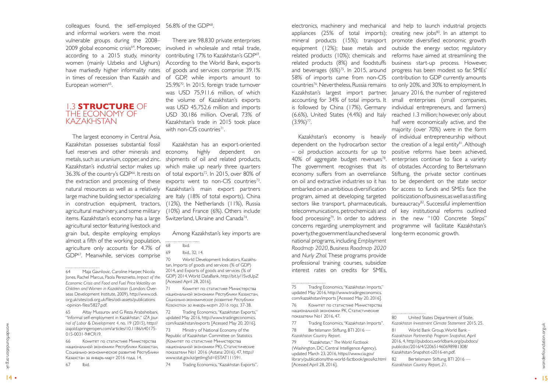<span id="page-7-0"></span>colleagues found, the self-employed 56.8% of the GDP<sup>68</sup>. and informal workers were the most vulnerable groups during the 2008– according to a 2015 study, minority women (mainly Uzbeks and Uighurs) have markedly higher informality rates in times of recession than Kazakh and European women<sup>65</sup>. .

#### 1.3 **STRUCTURE** OF THE ECONOMY OF KAZAKHSTAN

The largest economy in Central Asia, Kazakhstan possesses substantial fossil fuel reserves and other minerals and metals, such as uranium, copper, and zinc. Kazakhstan's industrial sector makes up 36.3% of the country's GDP<sup>66</sup>. It rests on the extraction and processing of these natural resources as well as a relatively large machine building sector specializing agricultural machinery, and some military items. Kazakhstan's economy has a large  $\,$  Switzerland, Ukraine and Canada $^{74}$ agricultural sector featuring livestock and grain but, despite employing employs almost a fifth of the working population, agriculture only accounts for 4.7% of GDP67. Meanwhile, services comprise

2009 global economic crisis<sup>64</sup>. Moreover, involved in wholesale and retail trade, There are 98,830 private enterprises contributing 17% to Kazakhstan's GDP<sup>69</sup>. . According to the World Bank, exports of goods and services comprise 39.1% of GDP, while imports amount to 25.9%70. In 2015, foreign trade turnover was USD 75,911.6 million, of which the volume of Kazakhstan's exports was USD 45,752.6 million and imports USD 30,186 million. Overall, 73% of Kazakhstan's trade in 2015 took place with non-CIS countries<sup>71</sup>. .

65 Altay Mussurov and G Reza Arabsheibani, "Informal self-employment in Kazakhstan," *IZA Journal of Labor & Development 4*, no. 19 (2015), http:// izajold.springeropen.com/articles/10.1186/s40175- 015-0031-9#CR19.

66 Комитет по статистике Министерства национальной экономики Республики Казахстан, Социально-экономическое развитие Республики Казахстан за январь-март 2016 года, 14.

in construction equipment, tractors, (12%), the Netherlands (11%), Russia Kazakhstan has an export-oriented economy, highly dependent on shipments of oil and related products, which make up nearly three quarters of total exports<sup>72</sup>. In 2015, over 80% of exports went to non-CIS countries<sup>73</sup>. Kazakhstan's main export partners are Italy (18% of total exports), China (10%) and France (6%). Others include .

67 Ibid.

Among Kazakhstan's key imports are

69 Ibid., 32; 14.

70 World Development Indicators, Kazakhs tan, Imports of goods and services (% of GDP) 2014, and Exports of goods and services (% of GDP) 2014, World DataBank, http://bit.ly/1SvdUpZ [Acessed April 28, 2016].

71 Комитет по статистике Министерства национальной экономики Республики Казахстан, *Социально-экономическое развитие Республики Казахстан за январь-март 2016 года,* 37-38.

72 Trading Economics, "Kazakhstan Exports," updated May 2016, http://www.tradingeconomics. com/kazakhstan/exports [Acessed May 20, 2016].

14 19 Novice Schepen (19 Novice Proposition) 19 Novice 2016 And The Conduction of the Conduction of the Conduction of the Conduction of the Conduction of the Conduction of the Conduction of the Conduction of the Conductio 73 Ministry of National Economy of the Republic of Kazakhstan Committee on Statistics (Комитет по статистике Министерства национальной экономики РК), Статистические показатели No1 2016 (Astana: 2016), 47, http:// www.stat.gov.kz/getImg?id=ESTAT111591.

- 80 United States Department of State,
- *Kazakhstan Investment Climate Statement* 2015, 25.
- 81 World Bank Group, World Bank –
- *Kazakhstan Partnership Program Snapshot,* April 2016, 4, http://pubdocs.worldbank.org/pubdocs/ publicdoc/2016/4/220651460698981308/
- Kazakhstan-Snapshot-s2016-en.pdf.
- 82 Bertelsmann Stiftung, BTI 2016 *Kazakhstan Country Report, 21.*

74 Trading Economics, "Kazakhstan Exports".

appliances (25% of total imports); equipment (12%); base metals and and beverages  $(6\%)^{75}$ . In 2015, around 58% of imports came from non-CIS countries76. Nevertheless, Russia remains Kazakhstan's largest import partner, is followed by China (17%), Germany (6.6%), United States (4.4%) and Italy  $(3.9\%)^{77}$ . .

Kazakhstan's economy is heavily dependent on the hydrocarbon sector – oil production accounts for up to on oil and extractive industries so it has embarked on an ambitious diversification program, aimed at developing targeted concerns regarding unemployment and poverty, the government launched several long-term economic growth. national programs, including *Employment Roadmap 2020*, *Business Roadmap 2020* and *Nurly Zhol.* These programs provide professional training courses, subsidize interest rates on credits for SMEs,

76 Комитет по статистике Министерства национальной экономики РК, Статистические показатели No1 2016, 47.

electronics, machinery and mechanical and help to launch industrial projects mineral products (15%); transport promote diversified economic growth related products (10%); chemicals and reforms have aimed at streamlining the related products (8%) and foodstuffs business start-up process. However, accounting for 34% of total imports. It small enterprises (small companies,  $40\%$  of aggregate budget revenues<sup>78</sup>. enterprises continue to face a variety The government recognises that its of obstacles. According to Bertelsmann economy suffers from an overreliance Stiftung, the private sector continues sectors like transport, pharmaceuticals, bureaucracy<sup>82</sup>. Successful implementtion telecommunications, petrochemicals and of key institutional reforms outlined food processing<sup>79</sup>. In order to address in the new "100 Concrete Steps" creating new jobs<sup>80</sup>. In an attempt to outside the energy sector, regulatory progress has been modest so far. SMEs' contribution to GDP currently amounts to only 20%, and 30% to employment. In January 2016, the number of registered individual entrepreneurs, and farmers) reached 1.3 million; however, only about half were economically active, and the majority (over 70%) were in the form of individual entrepreneurship without the creation of a legal entity $81$ . Although positive reforms have been achieved, to be dependent on the state sector for access to funds and SMEs face the politicization of business, as well as a stifling programme will facilitate Kazakhstan's

77 Trading Economics, "Kazakhstan Imports".

78 Bertelsmann Stiftung, BTI 2016 — *Kazakhstan Country Report.*

79 "Kazakhstan," *The World Factbook*  (Washington, DC: Central Intelligence Agency), updated March 23, 2016, https://www.cia.gov/ library/publications/the-world-factbook/geos/kz.html [Acessed April 28, 2016].

<sup>64</sup> Maja Gavrilovic, Caroline Harper, Nicola Jones, Rachel Marcus, Paola Pereznieto, *Impact of the Economic Crisis and Food and Fuel Price Volatility on Children and Women in Kazakhstan* (London: Overseas Development Institute, 2009), http://www.odi. org.uk/sites/odi.org.uk/files/odi-assets/publications -opinion-files/5827.pdf.

<sup>68</sup> Ibid.

<sup>75</sup> Trading Economics, "Kazakhstan Imports," updated May 2016, http://www.tradingeconomics. com/kazakhstan/imports [Acessed May 20, 2016].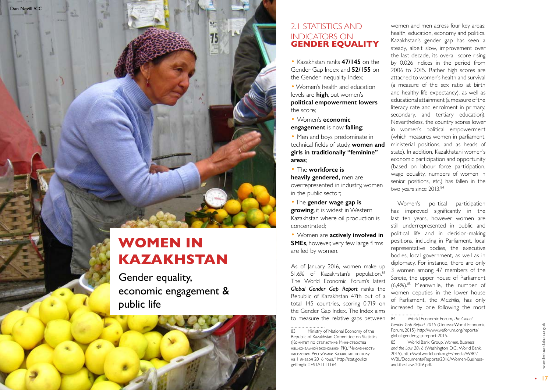- Kazakhstan ranks **47/145** on the Gender Gap Index and **52/155** on the Gender Inequality Index;
- Women's health and education levels are **high**, but women's **political empowerment lowers** the score;
- Women's **economic engagement** is now **falling** ;

<span id="page-8-0"></span>

### 2.1 STATISTICS AND INDICATORS ON **GENDER EQUALITY**

• Men and boys predominate in technical fields of study, **women and girls in traditionally "feminine" areas** ;

• The **workforce is** 

As of January 2016, women make up 51.6% of Kazakhstan's population.<sup>83</sup> The World Economic Forum's latest *Global Gender Gap Report* ranks the Republic of Kazakhstan 47th out of a total 145 countries, scoring 0.719 on the Gender Gap Index. The Index aims to measure the relative gaps between

**heavily gendered,** men are overrepresented in industry, women in the public sector;

•The **gender wage gap is growing**, it is widest in Western

women and men across four key areas: health, education, economy and politics. Kazakhstan's gender gap has seen a steady, albeit slow, improvement over the last decade, its overall score rising by 0.026 indices in the period from 2006 to 2015. Rather high scores are attached to women's health and survival (a measure of the sex ratio at birth and healthy life expectancy), as well as educational attainment (a measure of the literacy rate and enrolment in primary, secondary, and tertiary education). Nevertheless, the country scores lower in women's political empowerment (which measures women in parliament, ministerial positions, and as heads of state). In addition, Kazakhstani women's economic participation and opportunity (based on labour force participation, wage equality, numbers of women in senior positions, etc.) has fallen in the two years since 2013.84

Kazakhstan where oil production is concentrated;

• Women are **actively involved in SMEs**, however, very few large firms are led by women.

16 17 Well Discurre The Consumer The Consumer of National Economy of the Forum, 2015), http://www.weforum.org/reports/<br>
16 17 Well Bank Group, Women, Business<br>
(Κοмитет по сталистике Министерства<br>
(Κοмитет по сталистике М *Gender Gap Report 2015* (Geneva: World Economic Forum, 2015), http://www.weforum.org/reports/ global-gender-gap-report-2015. 85 World Bank Group, *Women, Business and the Law 2016* (Washington D.C.: World Bank, 2015), http://wbl.worldbank.org/~/media/WBG/ WBL/Documents/Reports/2016/Women-Businessand-the-Law-2016.pdf.

Women's political participation has improved significantly in the last ten years, however women are still underrepresented in public and political life and in decision-making positions, including in Parliament, local representative bodies, the executive bodies, local government, as well as in diplomacy. For instance, there are only 3 women among 47 members of the *Senate*, the upper house of Parliament  $(6,4\%)$ .<sup>85</sup> Meanwhile, the number of women deputies in the lower house of Parliament, the *Mazhilis*, has only increased by one following the most

84 World Economic Forum, *The Global* 

Ministry of National Economy of the Republic of Kazakhstan Committee on Statistics (Комитет по статистике Министерства национальной экономики РК), "Численность населения Республики Казахстан по полу на 1 января 2016 года," http://stat.gov.kz/ getImg?id=ESTAT111164.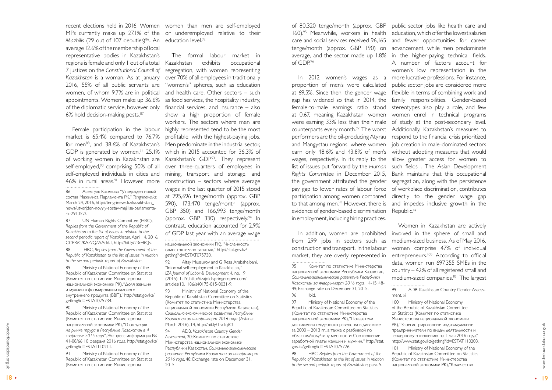Mazhilis (29 out of 107 deputies)<sup>86</sup>. An education level.<sup>92</sup> average 12.6% of the membership of local representative bodies in Kazakhstan's regions is female and only 1 out of a total 7 justices on the *Constitutional Council of Kazakhstan* is a woman. As at January women, of whom 9.7% are in political appointments. Women make up 36.6% of the diplomatic service, however only 6% hold decision-making posts.87

market is 65.4% compared to 76.7% for men<sup>88</sup>, and 38.6% of Kazakhstan's GDP is generated by women.<sup>89</sup> 25.1% of working women in Kazakhstan are self-employed,<sup>90</sup> comprising 50% of all self-employed individuals in cities and 46% in rural areas.<sup>91</sup> However, more 

87 UN Human Rights Committee (HRC), *Replies from the Government of the Republic of Kazakhstan to the list of issues in relation to the second periodic report of Kazakhstan*, April 14, 2016, CCPR/C/KAZ/Q/2/Add.1, http://bit.ly/23rHtQs.

89 Ministry of National Economy of the Republic of Kazakhstan Committee on Statistics (Комитет по статистике Министерства национальной экономики РК), "Доля женщин и мужчин в формировании валового внутреннего продукта (ВВП),'' http://stat.gov.kz/ getImg?id=ESTAT075734.

86 Асемгуль Касенова, "Утвержден новый состав Мажилиса Парламента РК," *Tengrinews* .*kz*, March 24, 2016, http://tengrinews.kz/kazakhstan\_ news/utverjden-novyiy-sostav-majilisa-parlamentark-291352/.

recent elections held in 2016. Women women than men are self-employed MPs currently make up 27.1% of the or underemployed relative to their

88 HRC, *Replies from the Government of the Republic of Kazakhstan to the list of issues in relation to the second periodic report of Kazakhstan.*

> 93 Ministry of National Economy of the Republic of Kazakhstan Committee on Statistics (Комитет по статистике Министерства национальной экономики Республики Казахстан), *Социально-экономическое развитие Республики Казахстан за январь-март 2016 года* (Astana: March 2016), 14, http://bit.ly/1ra1qtO.

90 Ministry of National Economy of the Republic of Kazakhstan Committee on Statistics (Комитет по статистике Министерства национальной экономики РК), "*О ситуации на рынке труда в Республике Казахстан в 4 квартале 2015 года*", Экспресс-информация № 41-08/66 10 февраля 2016 года, http://stat.gov.kz/ getImg?id=ESTAT110211.

18 HauvoHavabelo Strohomical PN,"O campusuar March 2016). 14. http://bit.ly/1ralqtO.<br>
18 2000 – 2013 reg. and a Consequence of AS ADS Consequence of AS ADS CONFIGUAL CONFIGUATION (CONFIGUATION PR<br>
2014 - Поведенной исслед 94 ADB, *Kazakhstan Country Gender Assessment*, 20; Комитет по статистике Министерства национальной экономики Республики Казахстан, *Социально-экономическое развитие Республики Казахстан за январь-март 2016 года*, 48; Exchange rate on December 31, 2015.

of 80,320 tenge/month (approx. GBP public sector jobs like health care and 160).95 Meanwhile, workers in health education, which offer the lowest salaries care and social services received 96,165 and fewer opportunities for career tenge/month (approx. GBP 190) on average, and the sector made up 1.8% in the higher-paying technical fields. of  $GDP<sup>96</sup>$ 

91 Ministry of National Economy of the Republic of Kazakhstan Committee on Statistics (Комитет по статистике Министерства

from 299 jobs in sectors such as construction and transport . In the labour market, they are overly represented in entrepreneurs.<sup>100</sup> According to official 

The formal labour market in exhibits occupational segregation, with women representing over 70% of all employees in traditionally 2016, 55% of all public servants are "women's" spheres, such as education and health care. Other sectors – such as food services, the hospitality industry, financial services, and insurance – also show a high proportion of female workers. The sectors where men are Female participation in the labour highly represented tend to be the most profitable, with the highest-paying jobs. Men predominate in the industrial sector, which in 2015 accounted for 36.3% of Kazakhstan's GDP<sup>93</sup>. They represent over three-quarters of employees in mining, transport and storage, and construction – sectors where average wages in the last quarter of 2015 stood at 295,696 tenge/month (approx. GBP 590), 173,470 tenge/month (approx. GBP 350) and 166,993 tenge/month (approx. GBP 330) respectively.<sup>94</sup> In contrast, education accounted for 2.9% of GDP last year with an average wage 

> 97 Ministry of National Economy of the Republic of Kazakhstan Committee on Statistics (Комитет по статистике Министерства национальной экономики РК), "Показатели достижения гендерного равенства в динамике за 2000 – 2013 гг., а также с разбивкой по областям/полу/типу местности: Соотношение заработной платы женщин и мужчин," http://stat. gov.kz/getImg?id=ESTAT075726.

национальной экономики РК), "Численность самостоятельно занятых," http://stat.gov.kz/ getImg?id=ESTAT075730.

92 Altay Mussurov and G Reza Arabsheibani, "Informal self-employment in Kazakhstan," *IZA Journal of Labor & Development 4,* no. 19 (2015): 1-19, http://izajold.springeropen.com/ articles/10.1186/s40175-015-0031-9.

In addition, women are prohibited involved in the sphere of small and Women in Kazakhstan are actively medium-sized business. As of May 2016, women comprise 47% of individual data, women run 697,355 SMEs in the country – 42% of all registered small and medium-sized companies.101 The largest

> 99 ADB, Kazakhstan Country Gender Assess ment, xi 100 Ministry of National Economy of the Republic of Kazakhstan Committee on Statistics (Комитет по статистике Министерства национальной экономики РК), "Зарегистрированные индивидуальные предприниматели по видам деятельности и гендерному отношению на 1 мая 2016 года," http://www.stat.gov.kz/getImg?id=ESTAT110203.

proportion of men's were calculated at 69.5%. Since then, the gender wage flexible in terms of combining work and gap has widened so that in 2014, the family responsibilities. Gender-based female-to-male earnings ratio stood stereotypes also play a role, and few at 0.67, meaning Kazakhstani women were earning 33% less than their male of study at the post-secondary level. counterparts every month.<sup>97</sup> The worst Additionally, Kazakhstan's measures to performers are the oil-producing Atyrau respond to the financial crisis prioritized and Mangystau regions, where women earn only 48.6% and 43.8% of men's without adopting measures that would wages, respectively. In its reply to the allow greater access for women to list of issues put forward by the *Human*  such fields . The Asian Development *Rights Committee* in December 2015, Bank maintains that this occupational the government attributed the gender pay gap to lower rates of labour force of workplace discrimination, contributes participation among women compared to that among men.<sup>98</sup> However, there is and impedes inclusive growth in the evidence of gender-based discrimination Republic.<sup>99</sup> in employment, including hiring practices.

In 2012 women's wages as a more lucrative professions. For instance, advancement, while men predominate A number of factors account for women's low representation in the public sector jobs are considered more women enrol in technical programs job creation in male-dominated sectors segregation, along with the persistence directly to the gender wage gap

98 HRC, *Replies from the Government of the Republic of Kazakhstan to the list of issues in relation to the second periodic report of Kazakhstan,* para. 5.

101 Ministry of National Economy of the Republic of Kazakhstan Committee on Statistics (Комитет по статистике Министерства национальной экономики РК), "Количество

<sup>95</sup> Комитет по статистике Министерства национальной экономики Республики Казахстан, *Социально-экономическое развитие Республики Казахстан за январь-март 2016 года,* 14-15; 48- 49; Exchange rate on December 31, 2015.

<sup>96</sup> Ibid.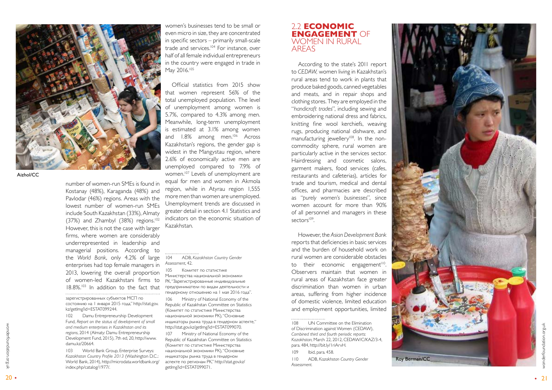number of women-run SMEs is found in Kostanay (48%), Karaganda (48%) and Pavlodar (46%) regions. Areas with the lowest number of women-run SMEs include South Kazakhstan (33%), Almaty (37%) and Zhambyl (38%) regions.<sup>102</sup> However, this is not the case with larger firms, where women are considerably underrepresented in leadership and managerial positions. According to the *World Bank*, only 4.2% of large enterprises had top female managers in 2013, lowering the overall proportion of women-led Kazakhstani firms to 18.8%.103 In addition to the fact that 

зарегистрированных субъектов МСП по состоянию на 1 января 2015 года," http://stat.gov. kz/getImg?id=ESTAT099244.

102 Damu Entrepreneurship Development Fund, *Report on the status of development of small and medium enterprises in Kazakhstan and its regions*, 2014 (Almaty: Damu Entrepreneurship Development Fund, 2015), 7th ed, 20, http://www. damu.kz/20664.

103 World Bank Group, Enterprise Surveys: *Kazakhstan Country Profile 2013* (Washington D.C.: World Bank, 2014), http://microdata.worldbank.org/ index.php/catalog/1977/.

. . . . . . . . . . . . . . . . 104 ADB, *Kazakhstan Country Gender Assessment*, 42.

women's businesses tend to be small or even micro in size, they are concentrated in specific sectors – primarily small-scale trade and services.104 For instance, over half of all female individual entrepreneurs in the country were engaged in trade in May 2016.105

Official statistics from 2015 show that women represent 56% of the total unemployed population. The level of unemployment among women is 5.7%, compared to 4.3% among men. Meanwhile, long-term unemployment is estimated at 3.1% among women and 1.8% among men.<sup>106</sup> Across Kazakhstan's regions, the gender gap is widest in the Mangystau region, where 2.6% of economically active men are unemployed compared to 7.9% of women.<sup>107</sup> Levels of unemployment are equal for men and women in Akmola region, while in Atyrau region 1,555 more men than women are unemployed. Unemployment trends are discussed in greater detail in section 4.1 Statistics and indicators on the economic situation of Kazakhstan.

<span id="page-10-0"></span>

105 Комитет по статистике Министерства национальной экономики РК, "Зарегистрированные индивидуальные предприниматели по видам деятельности и гендерному отношению на 1 мая 2016 года".

106 Ministry of National Economy of the Republic of Kazakhstan Committee on Statistics (Комитет по статистике Министерства национальной экономики РК), "Основные индикаторы рынка труда в гендерном аспекте," http://stat.gov.kz/getImg?id=ESTAT099070.

107 Ministry of National Economy of the Republic of Kazakhstan Committee on Statistics (Комитет по статистике Министерства национальной экономики РК), "Основные индикаторы рынка труда в гендерном аспекте по регионам РК," http://stat.gov.kz/ getImg?id=ESTAT099071.



Aizhol/CC

#### 2.2 **ECONOMIC ENGAGEMENT** OF WOMEN IN RURAL AREAS

According to the state's 2011 report to *CEDAW,* women living in Kazakhstan's rural areas tend to work in plants that produce baked goods, canned vegetables and meats, and in repair shops and clothing stores. They are employed in the "*handicraft trades*", including sewing and embroidering national dress and fabrics, knitting fine wool kerchiefs, weaving rugs, producing national dishware, and manufacturing jewellery<sup>108</sup>. In the noncommodity sphere, rural women are particularly active in the services sector. Hairdressing and cosmetic salons, garment makers, food services (cafes, restaurants and cafeterias), articles for trade and tourism, medical and dental offices, and pharmacies are described as "*purely women's businesses*", since women account for more than 90% of all personnel and managers in these sectors<sup>109</sup>. .

However, the *Asian Development Bank*  reports that deficiencies in basic services and the burden of household work on rural women are considerable obstacles to their economic engagement<sup>110</sup>. Observers maintain that women in rural areas of Kazakhstan face greater discrimination than women in urban areas, suffering from higher incidence of domestic violence, limited education and employment opportunities, limited

109 Ibid, para. 458.

<sup>108</sup> UN Committee on the Elimination of Discrimination against Women (CEDAW), *Combined third and fourth periodic reports: Kazakhstan,* March 22, 2012, CEDAW/C/KAZ/3-4, para. 484, http://bit.ly/1riArvH.

<sup>110</sup> ADB, *Kazakhstan Country Gender Assessment.*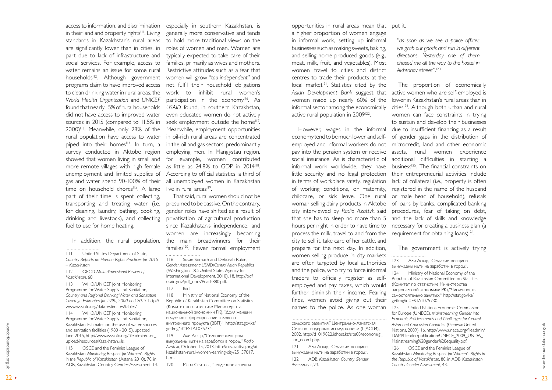access to information, and discrimination in their land and property rights<sup>111</sup>. Living standards in Kazakhstan's rural areas are significantly lower than in cities, in part due to lack of infrastructure and social services. For example, access to water remains an issue for some rural households<sup>112</sup>. Although government programs claim to have improved access to clean drinking water in rural areas, the *World Health Organization* and *UNICEF* found that nearly 15% of rural households did not have access to improved water sources in 2015 (compared to 11.5% in  $2000$ <sup> $113$ </sup>. Meanwhile, only 28% of the rural population have access to water piped into their homes<sup>114</sup>. In turn, a survey conducted in Aktobe region showed that women living in small and more remote villages with high female unemployment and limited supplies of gas and water spend 90-100% of their time on household chores<sup>115</sup>. A large part of their time is spent collecting, transporting and treating water (i.e. for cleaning, laundry, bathing, cooking, drinking and livestock), and collecting fuel to use for home heating.

In addition, the rural population,

112 OECD, *Multi-dimensional Review of Kazakhstan*, 60.

That said, rural women should not be presumed to be passive. On the contrary, gender roles have shifted as a result of privatisation of agricultural production since Kazakhstan's independence, and women are increasingly becoming the main breadwinners for their families<sup>120</sup>. Fewer formal employment 

113 WHO/UNICEF Joint Monitoring Programme for Water Supply and Sanitation, *Country and Regional Drinking Water and Sanitation Coverage Estimates for 1990, 2000 and 2015*, http:// www.wssinfo.org/data-estimates/tables/.

114 WHO/UNICEF Joint Monitoring Programme for Water Supply and Sanitation, Kazakhstan: Estimates on the use of water sources and sanitation facilities (1980 - 2015), updated June 2015, http://www.wssinfo.org/fileadmin/user\_ upload/resources/Kazakhstan.xls.

115 OSCE and the Feminist League of Kazakhstan, *Monitoring Respect for Women's Rights in the Republic of Kazakhstan* (Astana: 2010), 78, in ADB, Kazakhstan Country Gender Assessment, 14.

Acadystan: Estimates on the use of vaster sources and proposed the particular particular particular and an example the conserved the particular particular and the conserved the conserved the conserved of the conserved of 119 Али Аскар, "Сельские женщины вынуждены идти на заработки в город," *Radio Azattyk*, October 15, 2013, http://rus.azattyq.org/a/ kazakhstan-rural-women-earning-city/25137017. html.

opportunities in rural areas mean that a higher proportion of women engage in informal work, setting up informal businesses such as making sweets, baking, and selling home-produced goods (e.g., meat, milk, fruit, and vegetables). Most women travel to cities and district centres to trade their products at the local market<sup>[2]</sup>. Statistics cited by the *Asian Development Bank* suggest that women made up nearly 60% of the informal sector among the economically active rural population in 2009<sup>122</sup>.

especially in southern Kazakhstan, is generally more conservative and tends to hold more traditional views on the roles of women and men. Women are typically expected to take care of their families, primarily as wives and mothers. Restrictive attitudes such as a fear that women will grow "*too independent*" and not fulfil their household obligations work to inhibit rural women's participation in the economy<sup>116</sup>. As *USAID* found, in southern Kazakhstan, even educated women do not actively seek employment outside the home<sup>117</sup>. Meanwhile, employment opportunities in oil-rich rural areas are concentrated in the oil and gas sectors, predominantly employing men. In Mangystau region, for example, women contributed as little as 24.8% to GDP in 2014118. According to official statistics, a third of all unemployed women in Kazakhstan live in rural areas<sup>119</sup>. .

> сельского развития," Центрально-Азиатская Сеть по гендерным исследованиям (ЦАСГИ), 2002, http://d1019822.idhost.kz/site03/econom/g\_ soc\_econ1.php.

116 Susan Somach and Deborah Rubin, *Gender Assessment: USAID/Central Asian Republics* (Washington, DC: United States Agency for International Development, 2010), 18, http://pdf. usaid.gov/pdf\_docs/Pnads880.pdf.

#### 117 Ibid.

118 Ministry of National Economy of the Republic of Kazakhstan Committee on Statistics (Комитет по статистике Министерства национальной экономики РК), "Доля женщин и мужчин в формировании валового внутреннего продукта (ВВП)," http://stat.gov.kz/ getImg?id=ESTAT075734.

> OSCE and the Feminist League of Kazakhstan, *Monitoring Respect for Women's Rights in the Republic of Kazakhstan*, 80, in ADB, *Kazakhstan Country Gender Assessment,* 43.

"*as soon as we see a police officer, we grab our goods and run in different directions. Yesterday one of them chased me all the way to the hostel in*  Akhtanov street".<sup>123</sup>

120 Мара Сеитова, "Гендерные аспекты

economy tend to be much lower, and selfemployed and informal workers do not pay into the pension system or receive assets, rural women experience social insurance. As is characteristic of additional difficulties in starting a informal work worldwide, they have business<sup>125</sup>. The financial constraints on little security and no legal protection their entrepreneurial activities include in terms of workplace safety, regulation of working conditions, or maternity, childcare, or sick leave. One rural woman selling dairy products in Aktobe of loans by banks, complicated banking city interviewed by *Radio Azattyk* said that she has to sleep no more than 5 and the lack of skills and knowledge hours per night in order to have time to necessary for creating a business plan (a process the milk, travel to and from the requirement for obtaining loans)<sup>126</sup>. city to sell it, take care of her cattle, and prepare for the next day. In addition, women selling produce in city markets are often targeted by local authorities and the police, who try to force informal traders to officially register as selfemployed and pay taxes, which would further diminish their income. Fearing fines, women avoid giving out their names to the police. As one woman

However, wages in the informal due to insufficient financing as a result The proportion of economically active women who are self-employed is lower in Kazakhstan's rural areas than in cities<sup>124</sup>. Although both urban and rural women can face constraints in trying to sustain and develop their businesses of gender gaps in the distribution of microcredit, land and other economic lack of collateral (i.e., property is often registered in the name of the husband or male head of household), refusals procedures, fear of taking on debt,

121 Али Аскар, "Сельские женщины вынуждены идти на заработки в город".

122 ADB, *Kazakhstan Country Gender Assessment*, 23.

The government is actively trying

123 Али Аскар, "Сельские женщины вынуждены идти на заработки в город". 124 Ministry of National Economy of the

Republic of Kazakhstan Committee on Statistics (Комитет по статистике Министерства национальной экономики РК), "Численность самостоятельно занятых," http://stat.gov.kz/

getImg?id=ESTAT075730.

125 United Nations Economic Commission for Europe (UNECE), *Mainstreaming Gender into Economic Policies: Trends and Challenges for Central Asian and Caucasian Countries* (Geneva: United Nations, 2009), 16, http://www.unece.org/fileadmin/ DAM/Gender/publication/UNECE\_2009\_UNDA Mainstreaming%20gender%20equality.pdf.

<sup>111</sup> United States Department of State, *Country Reports on Human Rights Practices for 2015 – Kazakhstan.*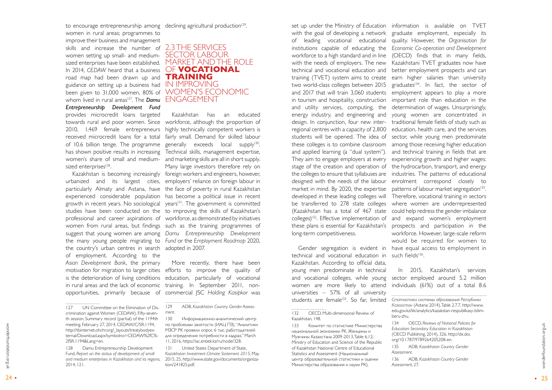<span id="page-12-0"></span>women in rural areas; programmes to improve their business and management skills and increase the number of 2.3 THE SERVICES women setting up small- and mediumsized enterprises have been established. MARKET AND THE ROLE In 2014, *CEDAW* heard that a business OF **VOCATIONAL**  road map had been drawn up and **TRAINING**  guidance on setting up a business had IN IMPROVING been given to 31,000 women, 80% of WOMEN'S ECONOMIC whom lived in rural areas<sup>127</sup>. The **Damu** ENGAGEMENT *Entrepreneurship Development Fund* provides microcredit loans targeted of 10.6 billion tenge. The programme has shown positive results in increasing sized enterprises<sup>128</sup>.

the country's urban centres in search adopted in 2007. of employment. According to the *Asian Development Bank*, the primary is the deterioration of living conditions opportunities, primarily because of

towards rural and poor women. Since workforce, although the proportion of 2010, 1,469 female entrepreneurs highly technically competent workers is received microcredit loans for a total fairly small. Demand for skilled labour women's share of small and medium-and marketing skills are all in short supply. Kazakhstan is becoming increasingly foreign workers and engineers, however, urbanized and its largest cities, employers' reliance on foreign labour in particularly Almaty and Astana, have the face of poverty in rural Kazakhstan experienced considerable population has become a political issue in recent growth in recent years. No sociological years<sup>131</sup>. The government is committed studies have been conducted on the to improving the skills of Kazakhstan's professional and career aspirations of workforce, as demonstrated by initiatives women from rural areas, but findings such as the training programmes of suggest that young women are among *Damu Entrepreneurship Development*  the many young people migrating to *Fund* or the *Employment Roadmap* 2020, Kazakhstan has an educated generally exceeds local supply<sup>130</sup>. Technical skills, management expertise, Many large investors therefore rely on

to encourage entrepreneurship among declining agricultural production<sup>129</sup>.

# SECTOR LABOUR

motivation for migration to larger cities efforts to improve the quality of in rural areas and the lack of economic training. In September 2011, non-More recently, there have been education, particularly of vocational commercial JSC *Holding Kasipkor* was

set up under the Ministry of Education information is available on TVET with the goal of developing a network graduate employment, especially its of leading vocational educational institutions capable of educating the *Economic Co-operation and Development* workforce to a high standard and in line (OECD) finds that in many fields, with the needs of employers. The new Kazakhstani TVET graduates now have technical and vocational education and better employment prospects and can training (TVET) system aims to create two world-class colleges between 2015 and 2017 that will train 3,060 students employment appears to play a more in tourism and hospitality, construction important role than education in the and utility services, computing, the determination of wages. Unsurprisingly, energy industry, and engineering and design. In conjunction, four new inter-traditional female fields of study such as regional centres with a capacity of 2,800 students will be opened. The idea of sector, while young men predominate these colleges is to combine classroom among those receiving higher education and applied learning (a "dual system"). They aim to engage employers at every experiencing growth and higher wages: stage of the creation and operation of the hydrocarbon, transport, and energy the colleges to ensure that syllabuses are industries. The patterns of educational designed with the needs of the labour market in mind. By 2020, the expertise developed in these leading colleges will be transferred to 278 state colleges (Kazakhstan has a total of 467 state could help redress the gender imbalance colleges)<sup>132</sup>. Effective implementation of and expand women's employment these plans is essential for Kazakhstan's prospects and participation in the long-term competitiveness.

technical and vocational education in such fields<sup>136</sup>. Kazakhstan. According to official data, young men predominate in technical and vocational colleges, while young women are more likely to attend universities – 57% of all university students are female<sup>133</sup>. So far, limited

meethig rebruary 27, 2014, 212 No. 2014, 2014, 2014, 2014, 2014, 2014, 2014, 2014, 2014, 2014, 2014, 2014, 2014, 2014, 2014, 2014, 2014, 2014, 2014, 2014, 2014, 2014, 2014, 2014, 2014, 2014, 2014, 2014, 2014, 2014, 2014, 133 Комитет по статистике Министерства национальной экономики РК, Женщины и Мужчины Казахстана 2009-2013, Table 6.12; Ministry of Education and Science of the Republic of Kazakhstan National Centre of Educational Statistics and Assessment (Национальный центр образовательной статистики и оценки Министерства образования и науки РК),

131 United States Department of State, *Kazakhstan Investment Climate Statement 2015*, May 2015, 25, http://www.state.gov/documents/organiza tion/241825.pdf.

132 OECD, Multi-dimensional Review of Kazakhstan, 148.

Gender segregation is evident in have equal access to employment in quality. However, the *Organisation for*  earn higher salaries than university graduates<sup>134</sup>. In fact, the sector of young women are concentrated in education, health care, and the services and technical training in fields that are enrolment correspond closely to patterns of labour market segregation<sup>135</sup>. Therefore, vocational training in sectors where women are underrepresented workforce. However, large-scale reform would be required for women to

> In 2015, Kazakhstan's services sector employed around 5.2 million individuals (61%) out of a total 8.6

*Статистика системы образования Республики Казахстан* (Astana: 2014), Table 2.7.7, http://www. edu.gov.kz/kk/analytics/kazakstan-respublikasy-bilim-

134 OECD, *Reviews of National Policies for Education: Secondary Education in Kazakhstan* (OECD Publishing, 2014), 326, http://dx.doi. org/10.1787/9789264205208-en.

beru-zhu. *Assessment.*

135 ADB, *Kazakhstan Country Gender* 

136 ADB, *Kazakhstan Country Gender Assessmen*t, 27.

<sup>127</sup> UN Committee on the Elimination of Dis crimination against Women (CEDAW), Fifty-seven th session, Summary record (partial) of the 1194th meeting, February 27, 2014, CEDAW/C/SR.1194, http://tbinternet.ohchr.org/\_layouts/treatybodyex ternal/Download.aspx?symbolno=CEDAW%2fC% - 2fSR.1194&Lang=en.

<sup>128</sup> Damu Entrepreneurship Development Fund, *Report on the status of development of small and medium enterprises in Kazakhstan and its regions*, 2014, 121.

<sup>129</sup> ADB, *Kazakhstan Country Gender Assess ment.*

<sup>130</sup> Информационно-аналитический центр по проблемам занятости (ИАЦ ПЗ), "Аналитики МЗСР РК провели опрос 6 тыс. работодателей для определения потребности в кадрах," March 11, 2016, https://iac.enbek.kz/ru/node/328.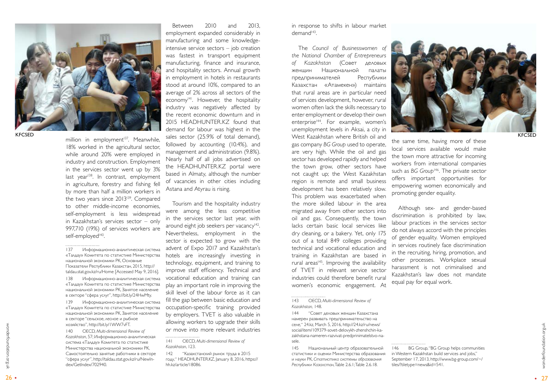

**KECSED** 

million in employment<sup>137</sup>. Meanwhile, 18% worked in the agricultural sector, while around 20% were employed in industry and construction. Employment in the services sector went up by 3% last year $138$ . In contrast, employment in agriculture, forestry and fishing fell by more than half a million workers in the two years since 2013<sup>139</sup>. Compared to other middle-income economies, self-employment is less widespread in Kazakhstan's services sector – only 997,710 (19%) of services workers are self-employed<sup>140</sup>. .

<sup>26</sup> <sup>27</sup> wonderfoundation.org.ukwonderfoundation.org.uk • • 140 OECD, *Multi-dimensional Review of Kazakhstan*, 57; Информационно-аналитическая система «Талдау» Комитета по статистике Министерства национальной экономики РК, Cамостоятельно занятые работники в секторе "сфера услуг", http://taldau.stat.gov.kz/ru/NewIn dex/GetIndex/702940.

139 Информационно-аналитическая система «Талдау» Комитета по статистике Министерства национальной экономики РК, Занятое население в секторе "сельское, лесное и рыбное хозяйство", http://bit.ly/1WW7vFT.

Between 2010 and 2013, employment expanded considerably in manufacturing and some knowledgeintensive service sectors – job creation was fastest in transport equipment manufacturing, finance and insurance, and hospitality sectors. Annual growth in employment in hotels in restaurants stood at around 10%, compared to an average of 2% across all sectors of the economy<sup>141</sup>. However, the hospitality industry was negatively affected by the recent economic downturn and in 2015 HEADHUNTER.KZ found that demand for labour was highest in the sales sector (25.9% of total demand), followed by accounting (10.4%), and management and administration (9.8%). Nearly half of all jobs advertised on the HEADHUNTER.KZ portal were based in Almaty, although the number of vacancies in other cities including Astana and Atyrau is rising.

Tourism and the hospitality industry were among the less competitive in the services sector last year, with around eight job seekers per vacancy<sup>142</sup>. Nevertheless, employment in the sector is expected to grow with the advent of Expo 2017 and Kazakhstan's hotels are increasingly investing in technology, equipment, and training to improve staff efficiency. Technical and vocational education and training can play an important role in improving the skill level of the labour force as it can fill the gap between basic education and occupation-specific training provided by employers. TVET is also valuable in allowing workers to upgrade their skills or move into more relevant industries in response to shifts in labour market  $demand<sup>143</sup>$ . .

The *Council of Businesswomen of the National Chamber of Entrepreneurs of Kazakhstan* (Совет деловых женщин Национальной палаты предпринимателей Республики Казахстан «Атамекен») maintains that rural areas are in particular need of services development, however, rural women often lack the skills necessary to enter employment or develop their own enterprise<sup>144</sup>. For example, women's unemployment levels in Aksai, a city in West Kazakhstan where British oil and gas company *BG Group* used to operate, are very high. While the oil and gas sector has developed rapidly and helped the town grow, other sectors have not caught up; the West Kazakhstan region is remote and small business development has been relatively slow. This problem was exacerbated when the more skilled labour in the area migrated away from other sectors into oil and gas. Consequently, the town lacks certain basic local services like dry cleaning, or a bakery. Yet, only 175 out of a total 849 colleges providing technical and vocational education and training in Kazakhstan are based in rural areas<sup>145</sup>. Improving the availability of TVET in relevant service sector industries could therefore benefit rural women's economic engagement. At



143 OECD, *Multi-dimensional Review of Kazakhstan,* 148.

144 "Совет деловых женщин Казахстана намерен развивать предпринимательство на селе," 24.kz, March 5, 2016, http://24.kz/ru/news/ social/item/109379-sovet-delovykh-zhenshchin-ka zakhstana-nameren-razvivat-predprinimatelstvo-nasele.

145 Национальный центр образовательной статистики и оценки Министерства образования и науки РК, *Статистика системы образования Республики Казахстан*, Table 2.6.1; Table 2.6.18.

the same time, having more of these local services available would make the town more attractive for incoming workers from international companies such as *BG Group*<sup>146</sup>. The private sector offers important opportunities for empowering women economically and promoting gender equality.

Although sex- and gender-based discrimination is prohibited by law, labour practices in the services sector do not always accord with the principles of gender equality. Women employed in services routinely face discrimination in the recruiting, hiring, promotion, and other processes. Workplace sexual harassment is not criminalised and Kazakhstan's law does not mandate equal pay for equal work.

KFCSED

<sup>137</sup> Информационно-аналитическая система «Талдау» Комитета по статистике Министерства национальной экономики РК, Основные Показатели Республики Казахстан, 2015, http:// taldau.stat.gov.kz/ru/Home [Accessed May 9, 2016].

<sup>138</sup> Информационно-аналитическая система «Талдау» Комитета по статистике Министерства национальной экономики РК, Занятое население в секторе "сфера услуг", http://bit.ly/24HwMty.

<sup>141</sup> OECD, *Multi-dimensional Review of Kazakhstan*, 123.

<sup>142</sup> "Казахстанский рынок труда в 2015 году," HEADHUNTER.KZ, January 8, 2016, https:// hh.kz/article/18086.

<sup>146</sup> BG Group, "BG Group helps communities in Western Kazakhstan build services and jobs," September 17, 2013, http://www.bg-group.com/~/ tiles/?tiletype=news&id=541.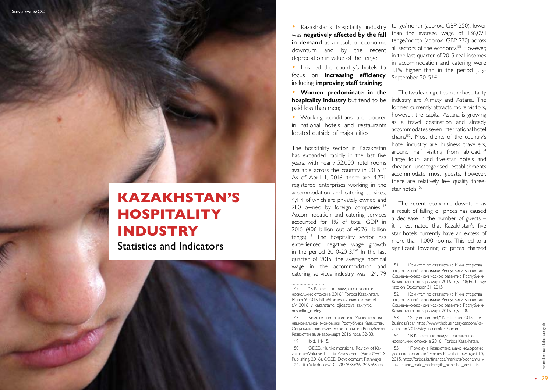

## <span id="page-14-0"></span>**KAZAKHSTAN'S HOSPITALITY INDUSTRY**

Statistics and Indicators

Kazakhstan's hospitality industry was **negatively affected by the fall in demand** as a result of economic downturn and by the recent depreciation in value of the tenge.

• This led the country's hotels to focus on **increasing efficiency**, including **improving staff training** ;

• **Women predominate in the hospitality industry** but tend to be paid less than men;

• Working conditions are poorer in national hotels and restaurants located outside of major cities;

tenge/month (approx. GBP 250), lower than the average wage of 136,094 tenge/month (approx. GBP 270) across all sectors of the economy.<sup>151</sup> However, in the last quarter of 2015 real incomes in accommodation and catering were 1.1% higher than in the period July-September 2015.<sup>152</sup>

The hospitality sector in Kazakhstan has expanded rapidly in the last five years, with nearly 52,000 hotel rooms available across the country in 2015.<sup>147</sup> As of April 1, 2016, there are 4,721 registered enterprises working in the accommodation and catering services, 4,414 of which are privately owned and 280 owned by foreign companies.<sup>148</sup> Accommodation and catering services accounted for 1% of total GDP in 2015 (406 billion out of 40,761 billion tenge).<sup>149</sup> The hospitality sector has experienced negative wage growth in the period 2010-2013.<sup>150</sup> In the last quarter of 2015, the average nominal wage in the accommodation and catering services industry was 124,179

The two leading cities in the hospitality industry are Almaty and Astana. The former currently attracts more visitors, however, the capital Astana is growing as a travel destination and already accommodates seven international hotel chains<sup>153</sup>. Most clients of the country's hotel industry are business travellers, around half visiting from abroad.<sup>154</sup> Large four- and five-star hotels and cheaper, uncategorised establishments accommodate most guests, however, there are relatively few quality threestar hotels.<sup>155</sup>

147 "В Казахстане ожидается закрытие нескольких отелей в 2016," Forbes Kazakhstan, March 9, 2016, http://forbes.kz/finances/market s/v\_2016\_v\_kazahstane\_ojidaetsya\_zakryitie\_ neskolko\_oteley.

148 Комитет по статистике Министерства национальной экономики Республики Казахстан, Социально-экономическое развитие Республики Казахстан за январь-март 2016 года, 32-33.

149 Ibid., 14-15.

150 OECD, Multi-dimensional Review of Ka zakhstan: Volume 1. Initial Assessment (Paris: OECD Publishing, 2016), OECD Development Pathways, 124, http://dx.doi.org/10.1787/9789264246768-en.

The recent economic downturn as a result of falling oil prices has caused a decrease in the number of guests – it is estimated that Kazakhstan's five star hotels currently have an excess of more than 1,000 rooms. This led to a significant lowering of prices charged

<sup>151</sup> Комитет по статистике Министерства национальной экономики Республики Казахстан, Социально-экономическое развитие Республики Казахстан за январь-март 2016 года, 48; Exchange rate on December 31, 2015.

<sup>152</sup> Комитет по статистике Министерства национальной экономики Республики Казахстан, Социально-экономическое развитие Республики Казахстан за январь-март 2016 года, 48.

<sup>153</sup> "Stay in comfort," Kazakhstan 2015, The Business Year, https://www.thebusinessyear.com/ka zakhstan-2015/stay-in-comfort/forum.

<sup>154</sup> "В Казахстане ожидается закрытие нескольких отелей в 2016," Forbes Kazakhstan.

<sup>155</sup> "Почему в Казахстане мало недорогих уютных гостиниц?," Forbes Kazakhstan, August 10, 2015, http://forbes.kz/finances/markets/pochemu\_v\_ kazahstane\_malo\_nedorogih\_horoshih\_gostinits.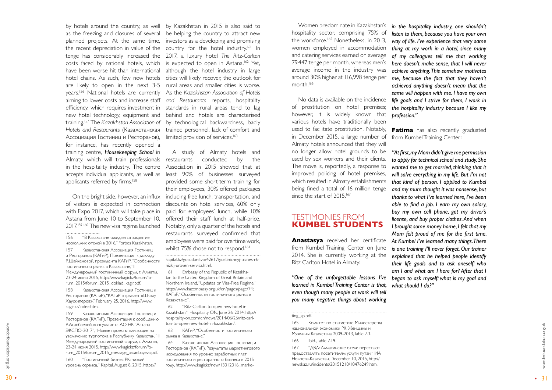by hotels around the country, as well by Kazakhstan in 2015 is also said to as the freezing and closures of several be helping the country to attract new planned projects. At the same time, investors as a developing and promising the recent depreciation in value of the country for the hotel industry.<sup>161</sup> In tenge has considerably increased the 2017, a luxury hotel *The Ritz-Carlton* costs faced by national hotels, which is expected to open in Astana.162 Yet, have been worse hit than international although the hotel industry in large hotel chains. As such, few new hotels cities will likely recover, the outlook for are likely to open in the next 3-5 rural areas and smaller cities is worse. years.156 National hotels are currently As the *Kazakhstan Association of Hotels*  aiming to lower costs and increase staff *and Restaurants* reports, hospitality efficiency, which requires investment in standards in rural areas tend to lag new hotel technology, equipment and behind and hotels are characterised training.157 The *Kazakhstan Association of*  by technological backwardness, badly *Hotels and Restaurants* (Казахстанская trained personnel, lack of comfort and limited provision of services.<sup>163</sup>

On the bright side, however, an influx including free lunch, transportation, and A study of Almaty hotels and conducted by the Association in 2015 showed that at least 90% of businesses surveyed provided some short-term training for their employees, 30% offered packages discounts on hotel services, 60% only paid for employees' lunch, while 10% offered their staff lunch at half-price. Notably, only a quarter of the hotels and restaurants surveyed confirmed that employees were paid for overtime work, whilst 75% chose not to respond.<sup>164</sup>

of visitors is expected in connection with Expo 2017, which will take place in Astana from June 10 to September 10, 2017.<sup>159 160</sup> The new visa regime launched

<span id="page-15-0"></span>Ассоциация Гостиниц и Ресторанов), for instance, has recently opened a training centre, *Housekeeping School* in Almaty, which will train professionals restaurants in the hospitality industry. The centre accepts individual applicants, as well as applicants referred by firms.<sup>158</sup>

30 • Р. Асанбаевой, консумианта АО НК "Астана - тольсо-орень песни-малентованного и под несколькой экономики РК Женщины и<br>31 момение турпотока в Республику Казахстан," II рынка в Казахстане." Мужчины Казахстана 2009-2013, 159 Казахстанская Ассоциация Гостиниц и Ресторанов (КАГиР), Презентация к сообщению Р.Асанбаевой, консультанта АО НК "Астана ЭКСПО-2017", "Новые проекты, влияющие на увеличение турпотока в Республику Казахстан," II Международный гостиничный форум, г. Алматы, 23-24 июня 2015, http://www.kagir.kz/forum/fo rum\_2015/forum\_2015\_message\_assanbayeva.pdf.

. . . . . . . . . . . . . . . . . . .

158 Казахстанская Ассоциация Гостиниц и Ресторанов (КАГиР), "КАГиР отрывает «Школу Хаускиперов»," February 25, 2016, http://www. kagir.kz/index.html.

Women predominate in Kazakhstan's hospitality sector, comprising 75% of the workforce.<sup>165</sup> Nonetheless, in 2013, women employed in accommodation and catering services earned on average 79,447 tenge per month, whereas men's average income in the industry was around 30% higher at 116,998 tenge per month.<sup>166</sup>

160 "Гостиничный бизнес РК: низкий уровень сервиса," Kapital, August 8, 2015, https://

No data is available on the incidence of prostitution on hotel premises; however, it is widely known that various hotels have traditionally been used to facilitate prostitution. Notably, **Fatima** has also recently graduated in December 2015, a large number of Almaty hotels announced that they will no longer allow hotel grounds to be used by sex workers and their clients. The move is, reportedly, a response to improved policing of hotel premises, which resulted in Almaty establishments being fined a total of 16 million tenge since the start of 2015.<sup>167</sup>

kapital.kz/gosudarstvo/42617/gostinichnyj-biznes-rknizkij-uroven-servisa.html.

161 Embassy of the Republic of Kazakhs tan to the United Kingdom of Great Britain and Northern Ireland, "Updates on Visa-Free Regime," http://www.kazembassy.org.uk/en/pages/page/74; КАГиР, "Особенности гостиничного рынка в Казахстане".

162 "Ritz-Carlton to open new hotel in Kazakhstan," Hospitality ON, June 26, 2014, http:// hospitality-on.com/en/news/2014/06/26/ritz-carl ton-to-open-new-hotel-in-kazakhstan/.

163 КАГиР, "Особенности гостиничного рынка в Казахстане."

164 Kазахстанская Ассоциация Гостиниц и Ресторанов (КАГиР), Результаты маркетингового исследования по уровню заработных плат гостиничного и ресторанного бизнеса в 2015 году, http://www.kagir.kz/new/13012016\_marke -

#### TESTIMONIES FROM **KUMBEL STUDENTS**

**Anastasya** received her certificate from Kumbel Training Center on June 2014. She is currently working at the Ritz Carlton Hotel in Almaty:

*"One of the unforgettable lessons I've began to ask myself: what is my goal and learned in Kumbel Training Center is that, even though many people at work will tell you many negative things about working* 

165 Комитет по статистике Министерства национальной экономики РК, Женщины и Мужчины Казахстана 2009-2013, Table 7.3.

166 Ibid., Table 7.19.

167 "ДВД: Алматинские отели перестают предоставлять посетителям услуги путан," ИА Новости-Казахстан, December 10, 2015, http:// newskaz.ru/incidents/20151210/10476249.html.

*in the hospitality industry, one shouldn't listen to them, because you have your own way of life. I've experience that very same thing at my work in a hotel, since many of my colleagues tell me that working here doesn't make sense, that I will never achieve anything. This somehow motivates me, because the fact that they haven't achieved anything doesn't mean that the same will happen with me. I have my own life goals and I strive for them, I work in the hospitality industry because I like my profession."*

from Kumbel Training Center:

*"At first, my Mom didn't give me permission to apply for technical school and study. She wanted me to get married, thinking that it will solve everything in my life. But I'm not that kind of person. I applied to Kumbel and my mum thought it was nonsense, but thanks to what I've learned here, I've been able to find a job. I earn my own salary, buy my own cell phone, got my driver's license, and buy proper clothes. And when I brought some money home, I felt that my Mom felt proud of me for the first time. At Kumbel I've learned many things. There is one training I'll never forget. Our trainer explained that he helped people identify their life goals and to ask oneself: who am I and what am I here for? After that I what should I do?"*

<sup>156</sup> "В Казахстане ожидается закрытие нескольких отелей в 2016," Forbes Kazakhstan. 157 Казахстанская Ассоциация Гостиниц и Ресторанов (КАГиР), Презентация к докладу Р.Шайкеновой, президента КАГиР, "Особенности гостиничного рынка в Казахстане," II Международный гостиничный форум, г. Алматы, 23-24 июня 2015, http://www.kagir.kz/forum/fo rum\_2015/forum\_2015\_doklad\_kagir.pdf.

ting\_zp.pdf.